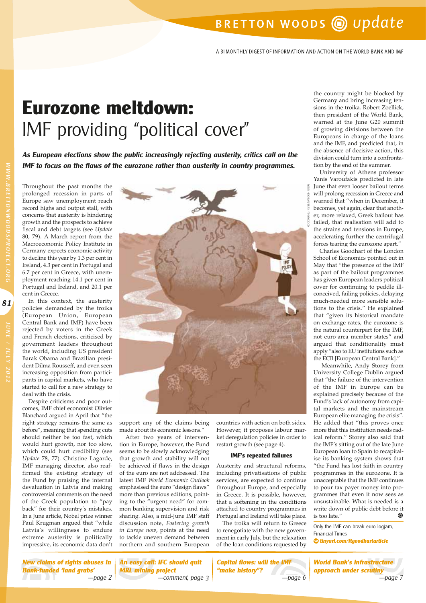# BRETTON WOODS @ update

A BI-MONTHLY DIGEST OF INFORMATION AND ACTION ON THE WORLD BANK AND IMF

# **Eurozone meltdown:**  IMF providing "political cover"

**As European elections show the public increasingly rejecting austerity, critics call on the IMF to focus on the flaws of the eurozone rather than austerity in country programmes.**

Throughout the past months the prolonged recession in parts of Europe saw unemployment reach record highs and output stall, with concerns that austerity is hindering growth and the prospects to achieve fiscal and debt targets (see *Update* 80, 79). A March report from the Macroeconomic Policy Institute in Germany expects economic activity to decline this year by 1.3 per cent in Ireland, 4.3 per cent in Portugal and 6.7 per cent in Greece, with unemployment reaching 14.1 per cent in Portugal and Ireland, and 20.1 per cent in Greece.

In this context, the austerity policies demanded by the troika (European Union, European Central Bank and IMF) have been rejected by voters in the Greek and French elections, criticised by government leaders throughout the world, including US president Barak Obama and Brazilian president Dilma Rousseff, and even seen increasing opposition from participants in capital markets, who have started to call for a new strategy to deal with the crisis.

Despite criticisms and poor outcomes, IMF chief economist Olivier Blanchard argued in April that "the right strategy remains the same as before", meaning that spending cuts should neither be too fast, which would hurt growth, nor too slow, which could hurt credibility (see *Update* 78, 77). Christine Lagarde, IMF managing director, also reaffirmed the existing strategy of the Fund by praising the internal devaluation in Latvia and making controversial comments on the need of the Greek population to "pay back" for their country's mistakes. In a June article, Nobel prize winner Paul Krugman argued that "while Latvia's willingness to endure extreme austerity is politically impressive, its economic data don't



support any of the claims being made about its economic lessons."

After two years of intervention in Europe, however, the Fund seems to be slowly acknowledging that growth and stability will not be achieved if flaws in the design of the euro are not addressed. The latest IMF *World Economic Outlook* emphasised the euro "design flaws" more than previous editions, pointing to the "urgent need" for common banking supervision and risk sharing. Also, a mid-June IMF staff discussion note, *Fostering growth in Europe now*, points at the need to tackle uneven demand between northern and southern European countries with action on both sides. However, it proposes labour market deregulation policies in order to restart growth (see page 4).

#### **IMF's repeated failures**

Austerity and structural reforms, including privatisations of public services, are expected to continue throughout Europe, and especially in Greece. It is possible, however, that a softening in the conditions attached to country programmes in Portugal and Ireland will take place.

The troika will return to Greece to renegotiate with the new government in early July, but the relaxation of the loan conditions requested by

the country might be blocked by Germany and bring increasing tensions in the troika. Robert Zoellick, then president of the World Bank, warned at the June G20 summit of growing divisions between the Europeans in charge of the loans and the IMF, and predicted that, in the absence of decisive action, this division could turn into a confrontation by the end of the summer.

University of Athens professor Yanis Varoufakis predicted in late June that even looser bailout terms will prolong recession in Greece and warned that "when in December, it becomes, yet again, clear that another, more relaxed, Greek bailout has failed, that realisation will add to the strains and tensions in Europe, accelerating further the centrifugal forces tearing the eurozone apart."

Charles Goodhart of the London School of Economics pointed out in May that "the presence of the IMF as part of the bailout programmes has given European leaders political cover for continuing to peddle illconceived, failing policies, delaying much-needed more sensible solutions to the crisis." He explained that "given its historical mandate on exchange rates, the eurozone is the natural counterpart for the IMF, not euro-area member states" and argued that conditionality must apply "also to EU institutions such as the ECB [European Central Bank]."

Meanwhile, Andy Storey from University College Dublin argued that "the failure of the intervention of the IMF in Europe can be explained precisely because of the Fund's lack of autonomy from capital markets and the mainstream European elite managing the crisis". He added that "this proves once more that this institution needs radical reform." Storey also said that the IMF's sitting out of the late June European loan to Spain to recapitalise its banking system shows that "the Fund has lost faith in country programmes in the eurozone. It is unacceptable that the IMF continues to pour tax payer money into programmes that even it now sees as unsustainable. What is needed is a write down of public debt before it<br>is too late" is too late."

Only the IMF can break euro logjam, Financial Times **◊ tinyurl.com/ftgoodhartarticle**

**World Bank's infrastructure** 

**81**WWW.BRETTONWOODSPROJECT.ORG JUNE / JULY 2012

81

**New claims of rights abuses in Bank-funded 'land grabs'**

**An easy call: IFC should quit MRL mining project** ––page 2 ––comment, page 3 ––page 6 ––page 7

**Capital flows: will the IMF "make history"?**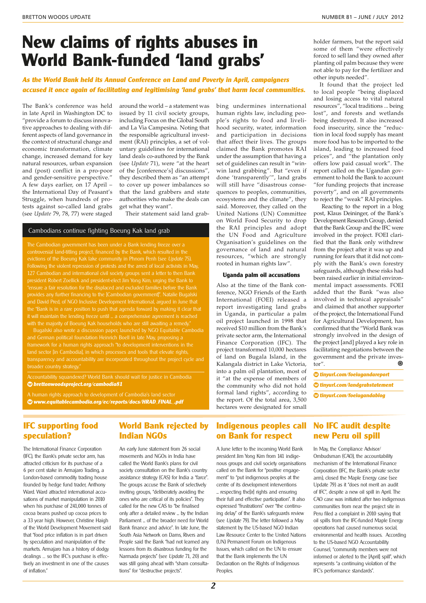# **New claims of rights abuses in World Bank-funded 'land grabs'**

### **As the World Bank held its Annual Conference on Land and Poverty in April, campaigners accused it once again of facilitating and legitimising 'land grabs' that harm local communities.**

The Bank's conference was held in late April in Washington DC to "provide a forum to discuss innovative approaches to dealing with different aspects of land governance in the context of structural change and economic transformation, climate change, increased demand for key natural resources, urban expansion and (post) conflict in a pro-poor and gender-sensitive perspective." A few days earlier, on 17 April – the International Day of Peasant's Struggle, when hundreds of protests against so-called land grabs (see *Update* 79, 78, 77) were staged

around the world – a statement was issued by 11 civil society groups, including Focus on the Global South and La Via Campesina. Noting that the responsible agricultural investment (RAI) principles, a set of voluntary guidelines for international land deals co-authored by the Bank (see *Update* 71), were "at the heart of the [conference's] discussions", they described them as "an attempt to cover up power imbalances so that the land grabbers and state authorities who make the deals can get what they want".

Their statement said land grab-

#### Cambodians continue fighting Boeung Kak land grab

controversial land-titling project, financed by the Bank, which resulted in the 127 Cambodian and international civil society groups sent a letter to then Bank president Robert Zoellick and president-elect Jim Yong Kim, urging the Bank to "ensure a fair resolution for the displaced and excluded families before the Bank provides any further financing to the [Cambodian government]". Natalie Bugalski it will maintain the lending freeze until ... a comprehensive agreement is reached

and German political foundation Heinrich Boell in late May, proposing a framework for a human rights approach "to development interventions in the land sector [in Cambodia], in which processes and tools that elevate rights, transparency and accountability are incorporated throughout the project cycle and broader country strategy.

Accountability squandered? World Bank should wait for justice in Cambodia **◊ brettonwoodsproject.org/cambodia81**

**◊ www.equitablecambodia.org/ec/reports/docs/HRAD\_FINAL\_.pdf**

bing undermines international human rights law, including people's rights to food and livelihood security, water, information and participation in decisions that affect their lives. The groups claimed the Bank promotes RAI under the assumption that having a set of guidelines can result in "winwin land grabbing". But "even if done 'transparently'", land grabs will still have "disastrous consequences to peoples, communities, ecosystems and the climate", they said. Moreover, they called on the United Nations (UN) Committee on World Food Security to drop the RAI principles and adopt the UN Food and Agriculture Organisation's guidelines on the governance of land and natural resources, "which are strongly rooted in human rights law".

#### **Uganda palm oil accusations**

Also at the time of the Bank conference, NGO Friends of the Earth International (FOEI) released a report investigating land grabs in Uganda, in particular a palm oil project launched in 1998 that received \$10 million from the Bank's private sector arm, the International Finance Corporation (IFC). The project transformed 10,000 hectares of land on Bugala Island, in the Kalangala district in Lake Victoria, into a palm oil plantation, most of it "at the expense of members of the community who did not hold formal land rights", according to the report. Of the total area, 3,500 hectares were designated for small holder farmers, but the report said some of them "were effectively forced to sell land they owned after planting oil palm because they were not able to pay for the fertilizer and other inputs needed".

It found that the project led to local people "being displaced and losing access to vital natural resources", "local traditions ... being lost", and forests and wetlands being destroyed. It also increased food insecurity, since the "reduction in local food supply has meant more food has to be imported to the island, leading to increased food prices", and "the plantation only offers low paid casual work". The report called on the Ugandan government to hold the Bank to account "for funding projects that increase poverty", and on all governments to reject the "weak" RAI principles.

Reacting to the report in a blog post, Klaus Deininger, of the Bank's Development Research Group, denied that the Bank Group and the IFC were involved in the project. FOEI clarified that the Bank only withdrew from the project after it was up and running for fears that it did not comply with the Bank's own forestry safeguards, although these risks had been raised earlier in initial environmental impact assessments. FOEI added that the Bank "was also involved in technical appraisals" and claimed that another supporter of the project, the International Fund for Agricultural Development, has confirmed that the "World Bank was strongly involved in the design of the project [and] played a key role in facilitating negotiations between the government and the private investor". ⋒

**◊ tinyurl.com/foeiugandareport ◊ tinyurl.com/landgrabstatement ◊ tinyurl.com/foeiugandablog** 

## **IFC supporting food speculation?**

The International Finance Corporation (IFC), the Bank's private sector arm, has attracted criticism for its purchase of a 6 per cent stake in Armajaro Trading, a London-based commodity trading house founded by hedge fund trader, Anthony Ward. Ward attracted international accusations of market manipulation in 2010 when his purchase of 241,000 tonnes of cocoa beans pushed up cocoa prices to a 33 year high. However, Christine Haigh of the World Development Movement said that "food price inflation is in part driven by speculation and manipulation of the markets. Armajaro has a history of dodgy dealings … so the IFC's purchase is effectively an investment in one of the causes of inflation."

## **World Bank rejected by Indian NGOs**

An early June statement from 26 social movements and NGOs in India have called the World Bank's plans for civil society consultation on the Bank's country assistance strategy (CAS) for India a "farce". The groups accuse the Bank of selectively inviting groups, "deliberately avoiding the ones who are critical of its policies". They called for the new CAS to "be finalised only after a detailed review ... by the Indian Parliament ... of the broader need for World Bank finance and advice". In late June, the South Asia Network on Dams, Rivers and People said the Bank "had not learned any lessons from its disastrous funding for the Narmada projects" (see Update 71, 20) and was still going ahead with "sham consultations" for "destructive projects".

## **Indigenous peoples call on Bank for respect**

A June letter to the incoming World Bank president Jim Yong Kim from 141 indigenous groups and civil society organisations called on the Bank for "positive engagement" to "put indigenous peoples at the centre of its development interventions ... respecting the[ir] rights and ensuring their full and effective participation". It also expressed "frustrations" over "the continuing delay" of the Bank's safeguards review (see Update 79). The letter followed a May statement by the US-based NGO Indian Law Resource Center to the United Nations (UN) Permanent Forum on Indigenous Issues, which called on the UN to ensure that the Bank implements the UN Declaration on the Rights of Indigenous Peoples.

## **No IFC audit despite new Peru oil spill**

In May, the Compliance Advisor/ Ombudsman (CAO), the accountability mechanism of the International Finance Corporation (IFC, the Bank's private sector arm), closed the Maple Energy case (see Update 79) as it "does not merit an audit of IFC", despite a new oil spill in April. The CAO case was initiated after two indigenous communities from near the project site in Peru filed a complaint in 2010 saying that oil spills from the IFC-funded Maple Energy operations had caused numerous social, environmental and health issues. According to the US-based NGO Accountability Counsel, "community members were not informed or alerted to the [April] spill", which represents "a continuing violation of the IFC's performance standards".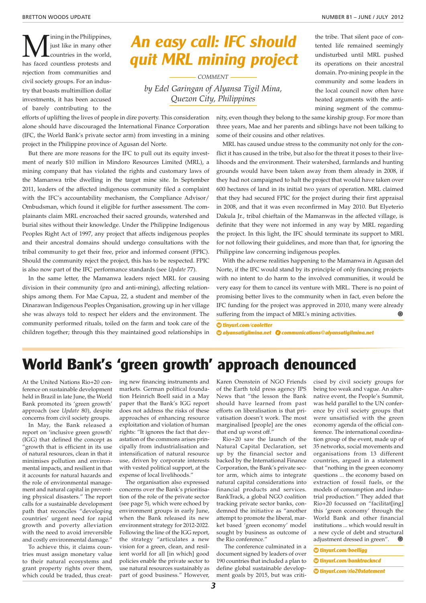M just like in many other<br>countries in the world,<br>has food countless protects and just like in many other countries in the world, has faced countless protests and rejection from communities and civil society groups. For an industry that boasts multimillion dollar investments, it has been accused of barely contributing to the

# **An easy call: IFC should quit MRL mining project**

*COMMENT by Edel Garingan of Alyansa Tigil Mina, Quezon City, Philippines*

the tribe. That silent pace of contented life remained seemingly undisturbed until MRL pushed its operations on their ancestral domain. Pro-mining people in the community and some leaders in the local council now often have heated arguments with the antimining segment of the commu-

efforts of uplifting the lives of people in dire poverty. This consideration alone should have discouraged the International Finance Corporation (IFC, the World Bank's private sector arm) from investing in a mining project in the Philippine province of Agusan del Norte.

But there are more reasons for the IFC to pull out its equity investment of nearly \$10 million in Mindoro Resources Limited (MRL), a mining company that has violated the rights and customary laws of the Mamanwa tribe dwelling in the target mine site. In September 2011, leaders of the affected indigenous community filed a complaint with the IFC's accountability mechanism, the Compliance Advisor/ Ombudsman, which found it eligible for further assessment. The complainants claim MRL encroached their sacred grounds, watershed and burial sites without their knowledge. Under the Philippine Indigenous Peoples Right Act of 1997, any project that affects indigenous peoples and their ancestral domains should undergo consultations with the tribal community to get their free, prior and informed consent (FPIC). Should the community reject the project, this has to be respected. FPIC is also now part of the IFC performance standards (see *Update* 77).

In the same letter, the Mamanwa leaders reject MRL for causing division in their community (pro and anti-mining), affecting relationships among them. For Mae Capua, 22, a student and member of the Dinarawan Indigenous Peoples Organisation, growing up in her village she was always told to respect her elders and the environment. The community performed rituals, toiled on the farm and took care of the children together; through this they maintained good relationships in nity, even though they belong to the same kinship group. For more than three years, Mae and her parents and siblings have not been talking to some of their cousins and other relatives.

MRL has caused undue stress to the community not only for the conflict it has caused in the tribe, but also for the threat it poses to their livelihoods and the environment. Their watershed, farmlands and hunting grounds would have been taken away from them already in 2008, if they had not campaigned to halt the project that would have taken over 600 hectares of land in its initial two years of operation. MRL claimed that they had secured FPIC for the project during their first appraisal in 2008, and that it was even reconfirmed in May 2010. But Elyeterio Dakula Jr., tribal chieftain of the Mamanwas in the affected village, is definite that they were not informed in any way by MRL regarding the project. In this light, the IFC should terminate its support to MRL for not following their guidelines, and more than that, for ignoring the Philippine law concerning indigenous peoples.

With the adverse realities happening to the Mamanwa in Agusan del Norte, if the IFC would stand by its principle of only financing projects with no intent to do harm to the involved communities, it would be very easy for them to cancel its venture with MRL. There is no point of promising better lives to the community when in fact, even before the IFC funding for the project was approved in 2010, many were already suffering from the impact of MRL's mining activities. ⋒

**◊ tinyurl.com/caoletter**

**◊ alyansatigilmina.net communications@alyansatigilmina.net**

# **World Bank's 'green growth' approach denounced**

At the United Nations Rio+20 conference on sustainable development held in Brazil in late June, the World Bank promoted its 'green growth' approach (see *Update* 80), despite concerns from civil society groups.

In May, the Bank released a report on 'inclusive green growth' (IGG) that defined the concept as "growth that is efficient in its use of natural resources, clean in that it minimises pollution and environmental impacts, and resilient in that it accounts for natural hazards and the role of environmental management and natural capital in preventing physical disasters." The report calls for a sustainable development path that reconciles "developing countries' urgent need for rapid growth and poverty alleviation with the need to avoid irreversible and costly environmental damage."

To achieve this, it claims countries must assign monetary value to their natural ecosystems and grant property rights over them, which could be traded, thus creating new financing instruments and markets. German political foundation Heinrich Boell said in a May paper that the Bank's IGG report does not address the risks of these approaches of enhancing resource exploitation and violation of human rights: "It ignores the fact that devastation of the commons arises principally from industrialisation and intensification of natural resource use, driven by corporate interests with vested political support, at the expense of local livelihoods."

The organisation also expressed concerns over the Bank's prioritisation of the role of the private sector (see page 5), which were echoed by environment groups in early June, when the Bank released its new environment strategy for 2012-2022. Following the line of the IGG report, the strategy "articulates a new vision for a green, clean, and resilient world for all [in which] good policies enable the private sector to use natural resources sustainably as part of good business." However, Karen Orenstein of NGO Friends of the Earth told press agency IPS News that "the lesson the Bank should have learned from past efforts on liberalisation is that privatisation doesn't work. The most marginalised [people] are the ones that end up worst off."

Rio+20 saw the launch of the Natural Capital Declaration, set up by the financial sector and backed by the International Finance Corporation, the Bank's private sector arm, which aims to integrate natural capital considerations into financial products and services. BankTrack, a global NGO coalition tracking private sector banks, condemned the initiative as "another attempt to promote the liberal, market based 'green economy' model sought by business as outcome of the Rio conference."

The conference culminated in a document signed by leaders of over 190 countries that included a plan to define global sustainable development goals by 2015, but was criti-

cised by civil society groups for being too weak and vague. An alternative event, the People's Summit, was held parallel to the UN conference by civil society groups that were unsatisfied with the green economy agenda of the official conference. The international coordination group of the event, made up of 35 networks, social movements and organisations from 13 different countries, argued in a statement that "nothing in the green economy questions ... the economy based on extraction of fossil fuels, or the models of consumption and industrial production." They added that Rio+20 focussed on "facilitat[ing] this 'green economy' through the World Bank and other financial institutions ... which would result in a new cycle of debt and structural adjustment dressed in green". ⋒

**◊ tinyurl.com/boelligg**

**◊ tinyurl.com/banktrackncd**

**◊ tinyurl.com/rio20statement**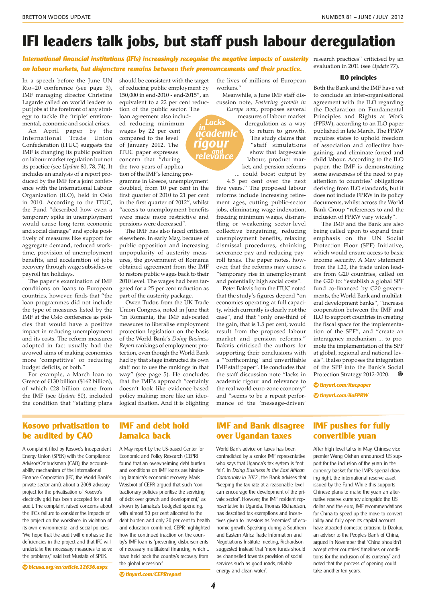## **IFI leaders talk jobs, but staff push labour deregulation**

**in academic**

**and relevance**

**rigour**

**International financial institutions (IFIs) increasingly recognise the negative impacts of austerity** research practices" criticised by an **on labour markets, but disjuncture remains between their pronouncements and their practice.**

In a speech before the June UN Rio+20 conference (see page 3), IMF managing director Christine Lagarde called on world leaders to put jobs at the forefront of any strategy to tackle the 'triple' environmental, economic and social crises.

An April paper by the International Trade Union Confederation (ITUC) suggests the IMF is changing its public position on labour market regulation but not its practice (see *Update* 80, 78, 74). It includes an analysis of a report produced by the IMF for a joint conference with the International Labour Organization (ILO), held in Oslo in 2010. According to the ITUC, the Fund "described how even a temporary spike in unemployment would cause long-term economic and social damage" and spoke positively of measures like support for aggregate demand, reduced worktime, provision of unemployment benefits, and acceleration of jobs recovery through wage subsidies or payroll tax holidays.

The paper's examination of IMF conditions on loans to European countries, however, finds that "the loan programmes did not include the type of measures listed by the IMF at the Oslo conference as policies that would have a positive impact in reducing unemployment and its costs. The reform measures adopted in fact usually had the avowed aims of making economies more 'competitive' or reducing budget deficits, or both."

For example, a March loan to Greece of €130 billion (\$162 billion), of which €28 billion came from the IMF (see *Update* 80), included the condition that "staffing plans should be consistent with the target of reducing public employment by 150,000 in end-2010 - end-2015", an equivalent to a 22 per cent reduction of the public sector. The loan agreement also includ-**Lacks**

ed reducing minimum wages by 22 per cent compared to the level of January 2012. The ITUC paper expresses concern that "during the two years of application of the IMF's lending programme in Greece, unemployment

doubled, from 10 per cent in the first quarter of 2010 to 21 per cent in the first quarter of 2012", whilst "access to unemployment benefits were made more restrictive and pensions were decreased".

The IMF has also faced criticism elsewhere. In early May, because of public opposition and increasing unpopularity of austerity measures, the government of Romania obtained agreement from the IMF to restore public wages back to their 2010 level. The wages had been targeted for a 25 per cent reduction as part of the austerity package.

Owen Tudor, from the UK Trade Union Congress, noted in June that "in Romania, the IMF advocated measures to liberalise employment protection legislation on the basis of the World Bank's *Doing Business Report* rankings of employment protection, even though the World Bank had by that stage instructed its own staff not to use the rankings in that way" (see page 5). He concludes that the IMF's approach "certainly doesn't look like evidence-based policy making: more like an ideological fixation. And it is blighting the lives of millions of European workers."

Meanwhile, a June IMF staff discussion note, *Fostering growth in Europe now*, proposes several

measures of labour market deregulation as a way to return to growth. The study claims that "staff simulations show that large-scale labour, product market, and pension reforms ... could boost output by

4.5 per cent over the next five years." The proposed labour reforms include increasing retirement ages, cutting public-sector jobs, eliminating wage indexation, freezing minimum wages, dismantling or weakening sector-level collective bargaining, reducing unemployment benefits, relaxing dismissal procedures, shrinking severance pay and reducing payroll taxes. The paper notes, however, that the reforms may cause a "temporary rise in unemployment and potentially high social costs".

Peter Bakvis from the ITUC noted that the study's figures depend "on economies operating at full capacity, which currently is clearly not the case", and that "only one-third of the gain, that is 1.5 per cent, would result from the proposed labour market and pension reforms." Bakvis criticised the authors for supporting their conclusions with a "'forthcoming' and unverifiable IMF staff paper". He concludes that the staff discussion note "lacks in academic rigour and relevance to the real world euro-zone economy" and "seems to be a repeat performance of the 'message-driven'

evaluation in 2011 (see *Update* 77).

#### **ILO principles**

Both the Bank and the IMF have yet to conclude an inter-organisational agreement with the ILO regarding the Declaration on Fundamental Principles and Rights at Work (FPRW), according to an ILO paper published in late March. The FPRW requires states to uphold freedom of association and collective bargaining, and eliminate forced and child labour. According to the ILO paper, the IMF is demonstrating some awareness of the need to pay attention to countries' obligations deriving from ILO standards, but it does not include FPRW in its policy documents, whilst across the World Bank Group "references to and the inclusion of FPRW vary widely".

The IMF and the Bank are also being called upon to expand their emphasis on the UN Social Protection Floor (SPF) Initiative, which would ensure access to basic income security. A May statement from the L20, the trade union leaders from G20 countries, called on the G20 to: "establish a global SPF fund co-financed by G20 governments, the World Bank and multilateral development banks", "increase cooperation between the IMF and ILO to support countries in creating the fiscal space for the implementation of the SPF", and "create an interagency mechanism ... to promote the implementation of the SPF at global, regional and national levels". It also proposes the integration of the SPF into the Bank's Social<br>Protection Strategy 2012-2020 Protection Strategy 2012-2020.

**◊ tinyurl.com/itucpaper**

**◊ tinyurl.com/iloFPRW**

## **Kosovo privatisation to be audited by CAO**

A complaint filed by Kosovo's Independent Energy Union (SPEK) with the Compliance Advisor/Ombudsman (CAO), the accountability mechanism of the International Finance Corporation (IFC, the World Bank's private sector arm), about a 2009 advisory project for the privatisation of Kosovo's electricity grid, has been accepted for a full audit. The complaint raised concerns about the IFC's failure to consider the impacts of the project on the workforce, in violation of its own environmental and social policies. "We hope that the audit will emphasise the deficiencies in the project and that IFC will undertake the necessary measures to solve the problems," said Izet Mustafa of SPEK.

**◊ bicusa.org/en/article.12636.aspx**

### **IMF and debt hold Jamaica back**

A May report by the US-based Center for Economic and Policy Research (CEPR) found that an overwhelming debt burden and conditions on IMF loans are hindering Jamaica's economic recovery. Mark Weisbrot of CEPR argued that such "contractionary policies prioritise the servicing of debt over growth and development," as shown by Jamaica's budgeted spending, with almost 50 per cent allocated to the debt burden and only 20 per cent to health and education combined. CEPR highlighted how the continued inaction on the country's IMF loan is "preventing disbursements of necessary multilateral financing, which ... have held back the country's recovery from the global recession'

**◊ tinyurl.com/CEPRreport**

## **IMF and Bank disagree over Ugandan taxes**

World Bank advice on taxes has been contradicted by a senior IMF representative who says that Uganda's tax system is "not fair". In Doing Business in the East African Community in 2012 , the Bank advises that "keeping the tax rate at a reasonable level can encourage the development of the private sector". However, the IMF resident representative in Uganda, Thomas Richardson, has described tax exemptions and incentives given to investors as "enemies" of economic growth. Speaking during a Southern and Eastern Africa Trade Information and Negotiations Institute meeting, Richardson suggested instead that "more funds should be channelled towards provision of social services such as good roads, reliable energy and clean water".

## **IMF pushes for fully convertible yuan**

After high level talks in May, Chinese vice premier Wang Qishan announced US support for the inclusion of the yuan in the currency basket for the IMF's special drawing right, the international reserve asset issued by the Fund. While this supports Chinese plans to make the yuan an alternative reserve currency alongside the US dollar and the euro, IMF recommendations for China to speed up the move to convertibility and fully open its capital account have attracted domestic criticism. Li Daokui, an advisor to the People's Bank of China, argued in November that "China shouldn't accept other countries' timelines or conditions for the inclusion of its currency" and noted that the process of opening could take another ten years.

**4**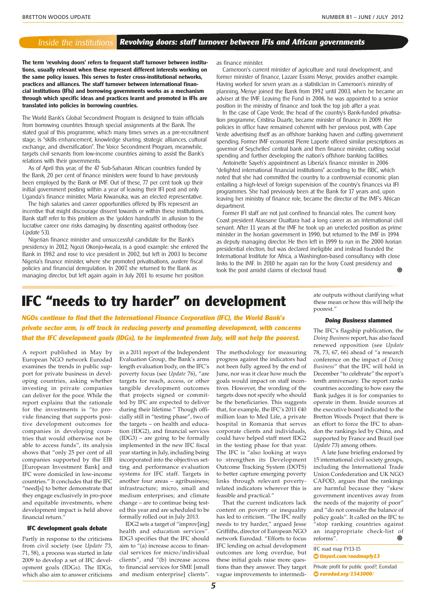#### **Revolving doors: staff turnover between IFIs and African governments** Inside the institutions

**The term 'revolving doors' refers to frequent staff turnover between institutions, usually relevant when these represent different interests working on the same policy issues. This serves to foster cross-institutional networks, practices and alliances. The staff turnover between international financial institutions (IFIs) and borrowing governments works as a mechanism through which specific ideas and practices learnt and promoted in IFIs are translated into policies in borrowing countries.**

The World Bank's Global Secondment Program is designed to train officials from borrowing countries through special assignments at the Bank. The stated goal of this programme, which many times serves as a pre-recruitment stage, is "skills enhancement, knowledge sharing, strategic alliances, cultural exchange, and diversification". The Voice Secondment Program, meanwhile, targets civil servants from low-income countries aiming to assist the Bank's relations with their governments.

As of April this year, of the 47 Sub-Saharan African countries funded by the Bank, 20 per cent of finance ministers were found to have previously been employed by the Bank or IMF. Out of these, 77 per cent took up their initial government posting within a year of leaving their IFI post and only Uganda's finance minister, Maria Kiwanuka, was an elected representative.

The high salaries and career opportunities offered by IFIs represent an incentive that might discourage dissent towards or within these institutions. Bank staff refer to this problem as the 'golden handcuffs' in allusion to the lucrative career one risks damaging by dissenting against orthodoxy (see Update 53).

Nigerian finance minister and unsuccessful candidate for the Bank's presidency in 2012, Ngozi Okonjo-Iweala, is a good example: she entered the Bank in 1982 and rose to vice president in 2002, but left in 2003 to become Nigeria's finance minister, where she promoted privatisations, austere fiscal policies and financial deregulation. In 2007, she returned to the Bank as managing director, but left again again in July 2011 to resume her position

as finance minister.

Cameroon's current minister of agriculture and rural development, and former minister of finance, Lazare Essimi Menye, provides another example. Having worked for seven years as a statistician in Cameroon's ministry of planning, Menye joined the Bank from 1992 until 2003, when he became an adviser at the IMF. Leaving the Fund in 2006, he was appointed to a senior position in the ministry of finance and took the top job after a year.

In the case of Cape Verde, the head of the country's Bank-funded privatisation programme, Cristina Duarte, became minister of finance in 2009. Her policies in office have remained coherent with her previous post, with Cape Verde advertising itself as an offshore banking haven and cutting government spending. Former IMF economist Pierre Laporte offered similar prescriptions as governor of Seychelles' central bank and then finance minister, cutting social spending and further developing the nation's offshore banking facilities.

Antoinette Sayeh's appointment as Liberia's finance minister in 2006 "delighted international financial institutions" according to the BBC, which noted that she had committed the country to a controversial economic plan entailing a high-level of foreign supervision of the country's finances via IFI programmes. She had previously been at the Bank for 17 years and, upon leaving her ministry of finance role, became the director of the IMF's African department.

Former IFI staff are not just confined to financial roles. The current Ivory Coast president Alassane Ouattara had a long career as an international civil servant. After 11 years at the IMF he took up an unelected position as prime minister in the Ivorian government in 1990, but returned to the IMF in 1994 as deputy managing director. He then left in 1999 to run in the 2000 Ivorian presidential election, but was declared ineligible and instead founded the International Institute for Africa, a Washington-based consultancy with close links to the IMF. In 2010 he again ran for the Ivory Coast presidency and ෧ took the post amidst claims of electoral fraud.

## **IFC "needs to try harder" on development**

**NGOs continue to find that the International Finance Corporation (IFC), the World Bank's private sector arm, is off track in reducing poverty and promoting development, with concerns that the IFC development goals (IDGs), to be implemented from July, will not help the poorest.**

A report published in May by European NGO network Eurodad examines the trends in public support for private business in developing countries, asking whether investing in private companies can deliver for the poor. While the report explains that the rationale for the investments is "to provide financing that supports positive development outcomes for companies in developing countries that would otherwise not be able to access funds", its analysis shows that "only 25 per cent of all companies supported by the EIB [European Investment Bank] and IFC were domiciled in low-income countries." It concludes that the IFC "need[s] to better demonstrate that they engage exclusively in pro-poor and equitable investments, where development impact is held above financial return."

#### **IFC development goals debate**

Partly in response to the criticisms from civil society (see *Update* 73, 71, 58), a process was started in late 2009 to develop a set of IFC development goals (IDGs). The IDGs, which also aim to answer criticisms in a 2011 report of the Independent Evaluation Group, the Bank's arms length evaluation body, on the IFC's poverty focus (see *Update* 76), "are targets for reach, access, or other tangible development outcomes that projects signed or committed by IFC are expected to deliver during their lifetime." Though officially still in "testing phase", two of the targets – on health and education (IDG2), and financial services (IDG3) – are going to be formally implemented in the new IFC fiscal year starting in July, including being incorporated into the objectives setting and performance evaluation systems for IFC staff. Targets in another four areas – agribusiness; infrastructure; micro, small and medium enterprises; and climate change – are to continue being tested this year and are scheduled to be formally rolled out in July 2013.

IDG2 sets a target of "improv[ing] health and education services". IDG3 specifies that the IFC should aim to "(a) increase access to financial services for micro/individual clients", and "(b) increase access to financial services for SME [small and medium enterprise] clients". The methodology for measuring progress against the indicators had not been fully agreed by the end of June, nor was it clear how much the goals would impact on staff incentives. However, the wording of the targets does not specify who should be the beneficiaries. This suggests that, for example, the IFC's 2011 €40 million loan to Med Life, a private hospital in Romania that serves corporate clients and individuals, could have helped staff meet IDG2 in the testing phase for that year. The IFC is "also looking at ways to strengthen its Development Outcome Tracking System (DOTS) to better capture emerging poverty links through relevant povertyrelated indicators wherever this is feasible and practical."

That the current indicators lack content on poverty or inequality has led to criticism. "The IFC really needs to try harder," argued Jesse Griffiths, director of European NGO network Eurodad. "Efforts to focus IFC lending on actual development outcomes are long overdue, but these initial goals raise more questions than they answer. They target vague improvements to intermedi-

ate outputs without clarifying what these mean or how this will help the poorest."

#### **Doing Business slammed**

The IFC's flagship publication, the *Doing Business* report, has also faced renewed opposition (see *Update* 78, 73, 67, 66) ahead of "a research conference on the impact of *Doing Business*" that the IFC will hold in December "to celebrate" the report's tenth anniversary. The report ranks countries according to how easy the Bank judges it is for companies to operate in them. Inside sources at the executive board indicated to the Bretton Woods Project that there is an effort to force the IFC to abandon the rankings led by China, and supported by France and Brazil (see *Update* 73) among others.

A late June briefing endorsed by 15 international civil society groups, including the International Trade Union Confederation and UK NGO CAFOD, argues that the rankings are harmful because they "skew government incentives away from the needs of the majority of poor" and "do not consider the balance of policy goals". It called on the IFC to "stop ranking countries against an inappropriate check-list of ⋒ reforms".

IFC road map FY13-15

**◊ tinyurl.com/roadmapfy13**

Private profit for public good?, Eurodad **◊ eurodad.org/1543000/**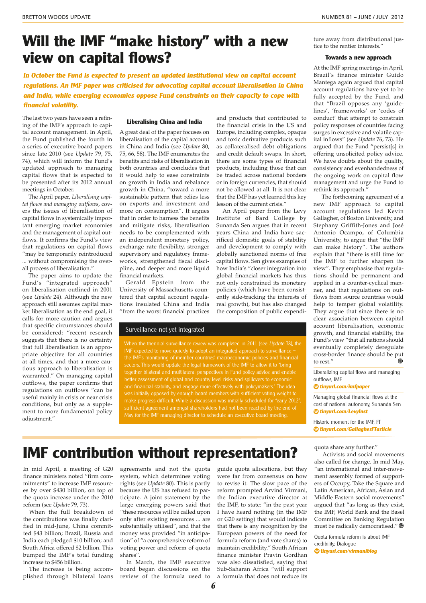## **Will the IMF "make history" with a new view on capital flows?**

**In October the Fund is expected to present an updated institutional view on capital account regulations. An IMF paper was criticised for advocating capital account liberalisation in China and India, while emerging economies oppose Fund constraints on their capacity to cope with financial volatility.**

The last two years have seen a refining of the IMF's approach to capital account management. In April, the Fund published the fourth in a series of executive board papers since late 2010 (see *Update* 79, 75, 74), which will inform the Fund's updated approach to managing capital flows that is expected to be presented after its 2012 annual meetings in October.

The April paper, *Liberalising capital flows and managing outflows*, covers the issues of liberalisation of capital flows in systemically important emerging market economies and the management of capital outflows. It confirms the Fund's view that regulations on capital flows "may be temporarily reintroduced ... without compromising the overall process of liberalisation."

The paper aims to update the Fund's "integrated approach" on liberalisation outlined in 2001 (see *Update* 24). Although the new approach still assumes capital market liberalisation as the end goal, it calls for more caution and argues that specific circumstances should be considered: "recent research suggests that there is no certainty that full liberalisation is an appropriate objective for all countries at all times, and that a more cautious approach to liberalisation is warranted." On managing capital outflows, the paper confirms that regulations on outflows "can be useful mainly in crisis or near crisis conditions, but only as a supplement to more fundamental policy adjustment."

#### **Liberalising China and India**

A great deal of the paper focuses on liberalisation of the capital account in China and India (see *Update* 80, 75, 66, 58). The IMF enumerates the benefits and risks of liberalisation in both countries and concludes that it would help to ease constraints on growth in India and rebalance growth in China, "toward a more sustainable pattern that relies less on exports and investment and more on consumption". It argues that in order to harness the benefits and mitigate risks, liberalisation needs to be complemented with an independent monetary policy, exchange rate flexibility, stronger supervisory and regulatory frameworks, strengthened fiscal discipline, and deeper and more liquid financial markets.

Gerald Epstein from the University of Massachusetts countered that capital account regulations insulated China and India "from the worst financial practices

#### Surveillance not yet integrated

When the triennial surveillance review was completed in 2011 (see Update 78), the IMF expected to move quickly to adopt an integrated approach to surveillance – the IMF's monitoring of member countries' macroeconomic policies and financial together bilateral and multilateral perspectives in Fund policy advice and enable and financial stability, and engage more effectively with policymakers." The idea was initially opposed by enough board members with sufficient voting weight to make progress difficult. While a discussion was initially scheduled for "early 2012" May for the IMF managing director to schedule an executive board meeting.

and products that contributed to the financial crisis in the US and Europe, including complex, opaque and toxic derivative products such as collateralised debt obligations and credit default swaps. In short, there are some types of financial products, including those that can be traded across national borders or in foreign currencies, that should not be allowed at all. It is not clear that the IMF has yet learned this key lesson of the current crisis."

An April paper from the Levy Institute of Bard College by Sunanda Sen argues that in recent years China and India have sacrificed domestic goals of stability and development to comply with globally sanctioned norms of free capital flows. Sen gives examples of how India's "closer integration into global financial markets has thus not only constrained its monetary policies (which have been consistently side-tracking the interests of real growth), but has also changed the composition of public expenditure away from distributional justice to the rentier interests."

#### **Towards a new approach**

At the IMF spring meetings in April, Brazil's finance minister Guido Mantega again argued that capital account regulations have yet to be fully accepted by the Fund, and that "Brazil opposes any 'guidelines', 'frameworks' or 'codes of conduct' that attempt to constrain policy responses of countries facing surges in excessive and volatile capital inflows" (see *Update* 76, 73). He argued that the Fund "persist[s] in offering unsolicited policy advice. We have doubts about the quality, consistency and evenhandedness of the ongoing work on capital flow management and urge the Fund to rethink its approach."

The forthcoming agreement of a new IMF approach to capital account regulations led Kevin Gallagher, of Boston University, and Stephany Griffith-Jones and José Antonio Ocampo, of Columbia University, to argue that "the IMF can make history". The authors explain that "there is still time for the IMF to further sharpen its view". They emphasise that regulations should be permanent and applied in a counter-cyclical manner, and that regulations on outflows from source countries would help to temper global volatility. They argue that since there is no clear association between capital account liberalisation, economic growth, and financial stability, the Fund's view "that all nations should eventually completely deregulate cross-border finance should be put to rest."

Liberalizing capital flows and managing outflows, IMF

#### **◊ tinyurl.com/imfpaper**

Managing global financial flows at the cost of national autonomy, Sunanda Sen **◊ tinyurl.com/LevyInst**

Historic moment for the IMF, FT **◊ tinyurl.com/GallagherFTarticle**

### quota share any further."

Activists and social movements also called for change. In mid May, "an international and inter-movement assembly formed of supporters of Occupy, Take the Square and Latin American, African, Asian and Middle Eastern social movements" argued that "as long as they exist, the IMF, World Bank and the Basel Committee on Banking Regulation must be radically democratised."

Quota formula reform is about IMF credibility, Dialogue **◊ tinyurl.com/virmaniblog**

## **IMF contribution without representation?**

In mid April, a meeting of G20 finance ministers noted "firm commitments" to increase IMF resources by over \$430 billion, on top of the quota increase under the 2010 reform (see *Update* 79, 73).

When the full breakdown of the contributions was finally clarified in mid-June, China committed \$43 billion; Brazil, Russia and India each pledged \$10 billion; and South Africa offered \$2 billion. This bumped the IMF's total funding increase to \$456 billion.

The increase is being accomplished through bilateral loans agreements and not the quota system, which determines voting rights (see *Update* 80). This is partly because the US has refused to participate. A joint statement by the large emerging powers said that "these resources will be called upon only after existing resources ... are substantially utilised", and that the money was provided "in anticipation" of "a comprehensive reform of voting power and reform of quota shares".

In March, the IMF executive board began discussions on the review of the formula used to guide quota allocations, but they were far from consensus on how to revise it. The slow pace of the reform prompted Arvind Virmani, the Indian executive director at the IMF, to state: "in the past year I have heard nothing (in the IMF or G20 setting) that would indicate that there is any recognition by the European powers of the need for formula reform (and vote shares) to maintain credibility." South African finance minister Pravin Gordhan was also dissatisfied, saying that Sub-Saharan Africa "will support a formula that does not reduce its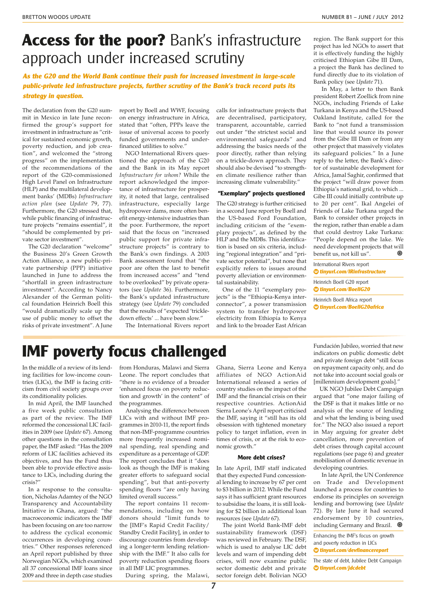## **Access for the poor?** Bank's infrastructure approach under increased scrutiny

**As the G20 and the World Bank continue their push for increased investment in large-scale public-private led infrastructure projects, further scrutiny of the Bank's track record puts its strategy in question.**

The declaration from the G20 summit in Mexico in late June reconfirmed the group's support for investment in infrastructure as "critical for sustained economic growth, poverty reduction, and job creation", and welcomed the "strong progress" on the implementation of the recommendations of the report of the G20-commissioned High Level Panel on Infrastructure (HLP) and the multilateral development banks' (MDBs) *Infrastructure action plan* (see *Update* 79, 77). Furthermore, the G20 stressed that, while public financing of infrastructure projects "remains essential", it "should be complemented by private sector investment".

The G20 declaration "welcome" the Business 20's Green Growth Action Alliance, a new public-private partnership (PPP) initiative launched in June to address the "shortfall in green infrastructure investment". According to Nancy Alexander of the German political foundation Heinrich Boell this "would dramatically scale up the use of public money to offset the risks of private investment". A June

report by Boell and WWF, focusing on energy infrastructure in Africa, stated that "often, PPPs leave the issue of universal access to poorly funded governments and underfinanced utilities to solve."

NGO International Rivers questioned the approach of the G20 and the Bank in its May report *Infrastructure for whom?* While the report acknowledged the importance of infrastructure for prosperity, it noted that large, centralised infrastructure, especially large hydropower dams, more often benefit energy-intensive industries than the poor. Furthermore, the report said that the focus on "increased public support for private infrastructure projects" is contrary to the Bank's own findings. A 2003 Bank assessment found that "the poor are often the last to benefit from increased access" and "tend to be overlooked" by private operators (see *Update* 36). Furthermore, the Bank's updated infrastructure strategy (see *Update* 79) concluded that the results of "expected 'trickledown effects' ... have been slow."

The International Rivers report

calls for infrastructure projects that are decentralised, participatory, transparent, accountable, carried out under "the strictest social and environmental safeguards" and addressing the basics needs of the poor directly, rather than relying on a trickle-down approach. They should also be devised "to strengthen climate resilience rather than increasing climate vulnerability."

#### **"Exemplary" projects questioned**

The G20 strategy is further criticised in a second June report by Boell and the US-based Ford Foundation, including criticism of the "exemplary projects", as defined by the HLP and the MDBs. This identification is based on six criteria, including "regional integration" and "private sector potential", but none that explicitly refers to issues around poverty alleviation or environmental sustainability.

One of the 11 "exemplary projects" is the "Ethiopia-Kenya interconnector", a power transmission system to transfer hydropower electricity from Ethiopia to Kenya and link to the broader East African

region. The Bank support for this project has led NGOs to assert that it is effectively funding the highly criticised Ethiopian Gibe III Dam, a project the Bank has declined to fund directly due to its violation of Bank policy (see *Update* 71).

In May, a letter to then Bank president Robert Zoellick from nine NGOs, including Friends of Lake Turkana in Kenya and the US-based Oakland Institute, called for the Bank to "not fund a transmission line that would source its power from the Gibe III Dam or from any other project that massively violates its safeguard policies." In a June reply to the letter, the Bank's director of sustainable development for Africa, Jamal Saghir, confirmed that the project "will draw power from Ethiopia's national grid, to which ... Gibe III could initially contribute up to 20 per cent". Ikal Angelei of Friends of Lake Turkana urged the Bank to consider other projects in the region, rather than enable a dam that could destroy Lake Turkana: "People depend on the lake. We need development projects that will benefit us, not kill us".

International Rivers report **◊ tinyurl.com/IRinfrastructure**

Heinrich Boell G20 report **◊ tinyurl.com/BoellG20**

Heinrich Boell Africa report **◊ tinyurl.com/BoellG20africa**

# **IMF poverty focus challenged**

In the middle of a review of its lending facilities for low-income countries (LICs), the IMF is facing criticism from civil society groups over its conditionality policies.

In mid April, the IMF launched a five week public consultation as part of the review. The IMF reformed the concessional LIC facilities in 2009 (see *Update* 67). Among other questions in the consultation paper, the IMF asked: "Has the 2009 reform of LIC facilities achieved its objectives, and has the Fund thus been able to provide effective assistance to LICs, including during the crisis?"

In a response to the consultation, Nicholas Adamtey of the NGO Transparency and Accountability Initiative in Ghana, argued: "the macroeconomic indicators the IMF has been focusing on are too narrow to address the cyclical economic occurrences in developing countries." Other responses referenced an April report published by three Norwegian NGOs, which examined all 37 concessional IMF loans since 2009 and three in depth case studies

from Honduras, Malawi and Sierra Leone. The report concludes that "there is no evidence of a broader 'enhanced focus on poverty reduction and growth' in the content" of the programmes.

Analysing the difference between LICs with and without IMF programmes in 2010-11, the report finds that non-IMF-programme countries more frequently increased nominal spending, real spending and expenditure as a percentage of GDP. The report concludes that it "does look as though the IMF is making greater efforts to safeguard social spending", but that anti-poverty spending floors "are only having" limited overall success."

The report contains 11 recommendations, including on how donors should "limit funds to the [IMF's Rapid Credit Facility/ Standby Credit Facility], in order to discourage countries from developing a longer-term lending relationship with the IMF." It also calls for poverty reduction spending floors in all IMF LIC programmes.

During spring, the Malawi,

Ghana, Sierra Leone and Kenya affiliates of NGO ActionAid International released a series of country studies on the impact of the IMF and the financial crisis on their respective countries. ActionAid Sierra Leone's April report criticised the IMF, saying it "still has its old obsession with tightened monetary policy to target inflation, even in times of crisis, or at the risk to economic growth."

#### **More debt crises?**

In late April, IMF staff indicated that they expected Fund concessional lending to increase by 67 per cent to \$3 billion in 2012. While the Fund says it has sufficient grant resources to subsidise the loans, it is still looking for \$2 billion in additional loan resources (see *Update* 67).

The joint World Bank-IMF debt sustainability framework (DSF) was reviewed in February. The DSF, which is used to analyse LIC debt levels and warn of impending debt crises, will now examine public sector domestic debt and private sector foreign debt. Bolivian NGO

Fundación Jubileo, worried that new indicators on public domestic debt and private foreign debt "still focus on repayment capacity only, and do not take into account social goals or [millennium development goals]."

UK NGO Jubilee Debt Campaign argued that "one major failing of the DSF is that it makes little or no analysis of the source of lending and what the lending is being used for." The NGO also issued a report in May arguing for greater debt cancellation, more prevention of debt crises through capital account regulations (see page 6) and greater mobilisation of domestic revenue in developing countries.

In late April, the UN Conference on Trade and Development launched a process for countries to endorse its principles on sovereign lending and borrowing (see *Update* 72). By late June it had secured endorsement by 10 countries, including Germany and Brazil.

Enhancing the IMF's focus on growth and poverty reduction in LICs **◊ tinyurl.com/devfinancereport**

The state of debt, Jubilee Debt Campaign **◊ tinyurl.com/jdcdebt**